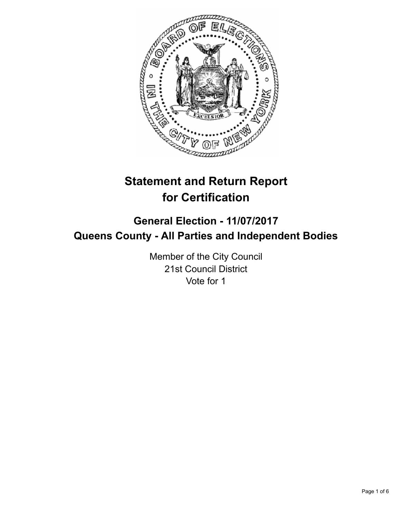

# **Statement and Return Report for Certification**

# **General Election - 11/07/2017 Queens County - All Parties and Independent Bodies**

Member of the City Council 21st Council District Vote for 1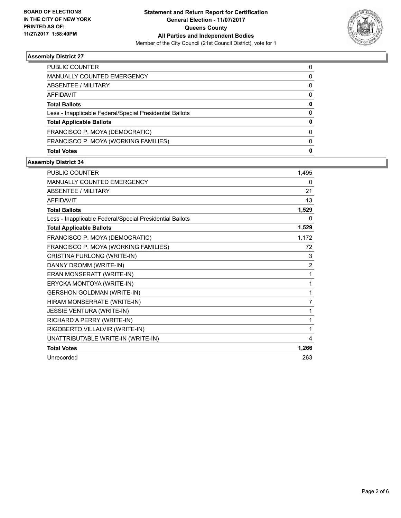

## **Assembly District 27**

| <b>PUBLIC COUNTER</b>                                    | 0 |
|----------------------------------------------------------|---|
| <b>MANUALLY COUNTED EMERGENCY</b>                        | 0 |
| ABSENTEE / MILITARY                                      | 0 |
| AFFIDAVIT                                                | 0 |
| <b>Total Ballots</b>                                     | 0 |
| Less - Inapplicable Federal/Special Presidential Ballots | 0 |
| <b>Total Applicable Ballots</b>                          | O |
| FRANCISCO P. MOYA (DEMOCRATIC)                           | 0 |
| FRANCISCO P. MOYA (WORKING FAMILIES)                     | 0 |
| <b>Total Votes</b>                                       | 0 |

## **Assembly District 34**

| <b>PUBLIC COUNTER</b>                                    | 1,495          |
|----------------------------------------------------------|----------------|
| <b>MANUALLY COUNTED EMERGENCY</b>                        | 0              |
| <b>ABSENTEE / MILITARY</b>                               | 21             |
| <b>AFFIDAVIT</b>                                         | 13             |
| <b>Total Ballots</b>                                     | 1,529          |
| Less - Inapplicable Federal/Special Presidential Ballots | 0              |
| <b>Total Applicable Ballots</b>                          | 1,529          |
| FRANCISCO P. MOYA (DEMOCRATIC)                           | 1,172          |
| FRANCISCO P. MOYA (WORKING FAMILIES)                     | 72             |
| CRISTINA FURLONG (WRITE-IN)                              | 3              |
| DANNY DROMM (WRITE-IN)                                   | $\overline{2}$ |
| ERAN MONSERATT (WRITE-IN)                                | 1              |
| ERYCKA MONTOYA (WRITE-IN)                                | 1              |
| <b>GERSHON GOLDMAN (WRITE-IN)</b>                        | 1              |
| HIRAM MONSERRATE (WRITE-IN)                              | 7              |
| JESSIE VENTURA (WRITE-IN)                                | 1              |
| RICHARD A PERRY (WRITE-IN)                               | 1              |
| RIGOBERTO VILLALVIR (WRITE-IN)                           | 1              |
| UNATTRIBUTABLE WRITE-IN (WRITE-IN)                       | 4              |
| <b>Total Votes</b>                                       | 1,266          |
| Unrecorded                                               | 263            |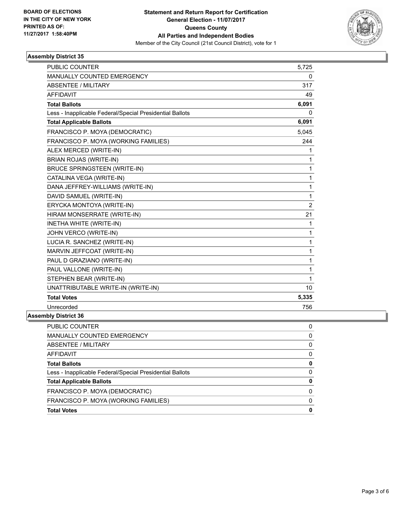

## **Assembly District 35**

| <b>PUBLIC COUNTER</b>                                    | 5,725          |
|----------------------------------------------------------|----------------|
| MANUALLY COUNTED EMERGENCY                               | 0              |
| <b>ABSENTEE / MILITARY</b>                               | 317            |
| <b>AFFIDAVIT</b>                                         | 49             |
| <b>Total Ballots</b>                                     | 6,091          |
| Less - Inapplicable Federal/Special Presidential Ballots | 0              |
| <b>Total Applicable Ballots</b>                          | 6,091          |
| FRANCISCO P. MOYA (DEMOCRATIC)                           | 5,045          |
| FRANCISCO P. MOYA (WORKING FAMILIES)                     | 244            |
| ALEX MERCED (WRITE-IN)                                   | 1              |
| <b>BRIAN ROJAS (WRITE-IN)</b>                            | 1              |
| <b>BRUCE SPRINGSTEEN (WRITE-IN)</b>                      | 1              |
| CATALINA VEGA (WRITE-IN)                                 | 1              |
| DANA JEFFREY-WILLIAMS (WRITE-IN)                         | 1              |
| DAVID SAMUEL (WRITE-IN)                                  | 1              |
| ERYCKA MONTOYA (WRITE-IN)                                | $\overline{2}$ |
| HIRAM MONSERRATE (WRITE-IN)                              | 21             |
| INETHA WHITE (WRITE-IN)                                  | 1              |
| JOHN VERCO (WRITE-IN)                                    | 1              |
| LUCIA R. SANCHEZ (WRITE-IN)                              | 1              |
| MARVIN JEFFCOAT (WRITE-IN)                               | 1              |
| PAUL D GRAZIANO (WRITE-IN)                               | 1              |
| PAUL VALLONE (WRITE-IN)                                  | 1              |
| STEPHEN BEAR (WRITE-IN)                                  | 1              |
| UNATTRIBUTABLE WRITE-IN (WRITE-IN)                       | 10             |
| <b>Total Votes</b>                                       | 5,335          |
| Unrecorded                                               | 756            |

#### **Assembly District 36**

| <b>PUBLIC COUNTER</b>                                    | 0 |
|----------------------------------------------------------|---|
| MANUALLY COUNTED EMERGENCY                               | 0 |
| ABSENTEE / MILITARY                                      | 0 |
| AFFIDAVIT                                                | 0 |
| <b>Total Ballots</b>                                     | 0 |
| Less - Inapplicable Federal/Special Presidential Ballots | 0 |
| <b>Total Applicable Ballots</b>                          | 0 |
| FRANCISCO P. MOYA (DEMOCRATIC)                           | 0 |
| FRANCISCO P. MOYA (WORKING FAMILIES)                     | O |
| <b>Total Votes</b>                                       | 0 |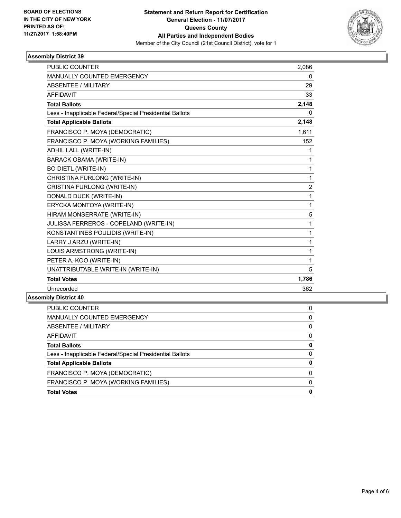

## **Assembly District 39**

| <b>PUBLIC COUNTER</b>                                    | 2,086          |
|----------------------------------------------------------|----------------|
| <b>MANUALLY COUNTED EMERGENCY</b>                        | 0              |
| <b>ABSENTEE / MILITARY</b>                               | 29             |
| <b>AFFIDAVIT</b>                                         | 33             |
| <b>Total Ballots</b>                                     | 2,148          |
| Less - Inapplicable Federal/Special Presidential Ballots | 0              |
| <b>Total Applicable Ballots</b>                          | 2,148          |
| FRANCISCO P. MOYA (DEMOCRATIC)                           | 1,611          |
| FRANCISCO P. MOYA (WORKING FAMILIES)                     | 152            |
| ADHIL LALL (WRITE-IN)                                    | 1              |
| <b>BARACK OBAMA (WRITE-IN)</b>                           | 1              |
| <b>BO DIETL (WRITE-IN)</b>                               | 1              |
| CHRISTINA FURLONG (WRITE-IN)                             | 1              |
| CRISTINA FURLONG (WRITE-IN)                              | $\overline{2}$ |
| DONALD DUCK (WRITE-IN)                                   | 1              |
| ERYCKA MONTOYA (WRITE-IN)                                | 1              |
| HIRAM MONSERRATE (WRITE-IN)                              | 5              |
| JULISSA FERREROS - COPELAND (WRITE-IN)                   | 1              |
| KONSTANTINES POULIDIS (WRITE-IN)                         | 1              |
| LARRY J ARZU (WRITE-IN)                                  | 1              |
| LOUIS ARMSTRONG (WRITE-IN)                               | 1              |
| PETER A. KOO (WRITE-IN)                                  | 1              |
| UNATTRIBUTABLE WRITE-IN (WRITE-IN)                       | 5              |
| <b>Total Votes</b>                                       | 1,786          |
| Unrecorded                                               | 362            |

#### **Assembly District 40**

| <b>Total Votes</b>                                       | 0 |
|----------------------------------------------------------|---|
| FRANCISCO P. MOYA (WORKING FAMILIES)                     | 0 |
| FRANCISCO P. MOYA (DEMOCRATIC)                           | 0 |
| <b>Total Applicable Ballots</b>                          | 0 |
| Less - Inapplicable Federal/Special Presidential Ballots | 0 |
| <b>Total Ballots</b>                                     | 0 |
| AFFIDAVIT                                                | 0 |
| ABSENTEE / MILITARY                                      | 0 |
| MANUALLY COUNTED EMERGENCY                               | 0 |
| PUBLIC COUNTER                                           | 0 |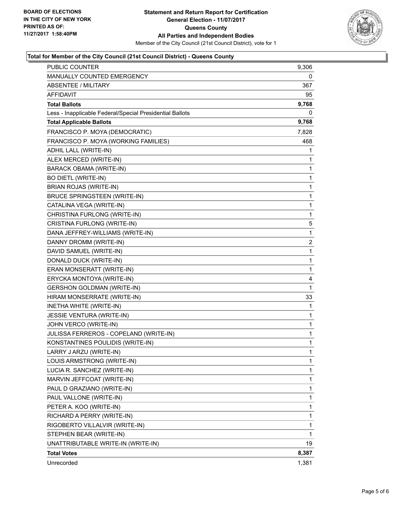

## **Total for Member of the City Council (21st Council District) - Queens County**

| PUBLIC COUNTER                                           | 9,306 |
|----------------------------------------------------------|-------|
| MANUALLY COUNTED EMERGENCY                               | 0     |
| <b>ABSENTEE / MILITARY</b>                               | 367   |
| AFFIDAVIT                                                | 95    |
| <b>Total Ballots</b>                                     | 9,768 |
| Less - Inapplicable Federal/Special Presidential Ballots | 0     |
| <b>Total Applicable Ballots</b>                          | 9,768 |
| FRANCISCO P. MOYA (DEMOCRATIC)                           | 7,828 |
| FRANCISCO P. MOYA (WORKING FAMILIES)                     | 468   |
| ADHIL LALL (WRITE-IN)                                    | 1     |
| ALEX MERCED (WRITE-IN)                                   | 1     |
| <b>BARACK OBAMA (WRITE-IN)</b>                           | 1     |
| <b>BO DIETL (WRITE-IN)</b>                               | 1     |
| <b>BRIAN ROJAS (WRITE-IN)</b>                            | 1     |
| <b>BRUCE SPRINGSTEEN (WRITE-IN)</b>                      | 1     |
| CATALINA VEGA (WRITE-IN)                                 | 1     |
| CHRISTINA FURLONG (WRITE-IN)                             | 1     |
| CRISTINA FURLONG (WRITE-IN)                              | 5     |
| DANA JEFFREY-WILLIAMS (WRITE-IN)                         | 1     |
| DANNY DROMM (WRITE-IN)                                   | 2     |
| DAVID SAMUEL (WRITE-IN)                                  | 1     |
| DONALD DUCK (WRITE-IN)                                   | 1     |
| ERAN MONSERATT (WRITE-IN)                                | 1     |
| ERYCKA MONTOYA (WRITE-IN)                                | 4     |
| <b>GERSHON GOLDMAN (WRITE-IN)</b>                        | 1     |
| HIRAM MONSERRATE (WRITE-IN)                              | 33    |
| INETHA WHITE (WRITE-IN)                                  | 1     |
| JESSIE VENTURA (WRITE-IN)                                | 1     |
| JOHN VERCO (WRITE-IN)                                    | 1     |
| JULISSA FERREROS - COPELAND (WRITE-IN)                   | 1     |
| KONSTANTINES POULIDIS (WRITE-IN)                         | 1     |
| LARRY J ARZU (WRITE-IN)                                  | 1     |
| LOUIS ARMSTRONG (WRITE-IN)                               | 1     |
| LUCIA R. SANCHEZ (WRITE-IN)                              | 1     |
| MARVIN JEFFCOAT (WRITE-IN)                               | 1     |
| PAUL D GRAZIANO (WRITE-IN)                               | 1     |
| PAUL VALLONE (WRITE-IN)                                  | 1     |
| PETER A. KOO (WRITE-IN)                                  | 1     |
| RICHARD A PERRY (WRITE-IN)                               | 1     |
| RIGOBERTO VILLALVIR (WRITE-IN)                           | 1     |
| STEPHEN BEAR (WRITE-IN)                                  | 1     |
| UNATTRIBUTABLE WRITE-IN (WRITE-IN)                       | 19    |
| <b>Total Votes</b>                                       | 8,387 |
| Unrecorded                                               | 1,381 |